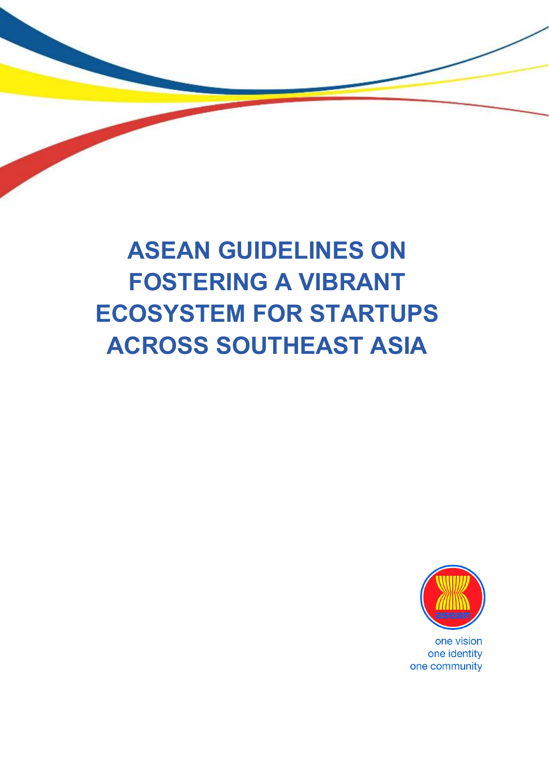

# **ASEAN GUIDELINES ON FOSTERING A VIBRANT ECOSYSTEM FOR STARTUPS ACROSS SOUTHEAST ASIA**



one vision one identity one community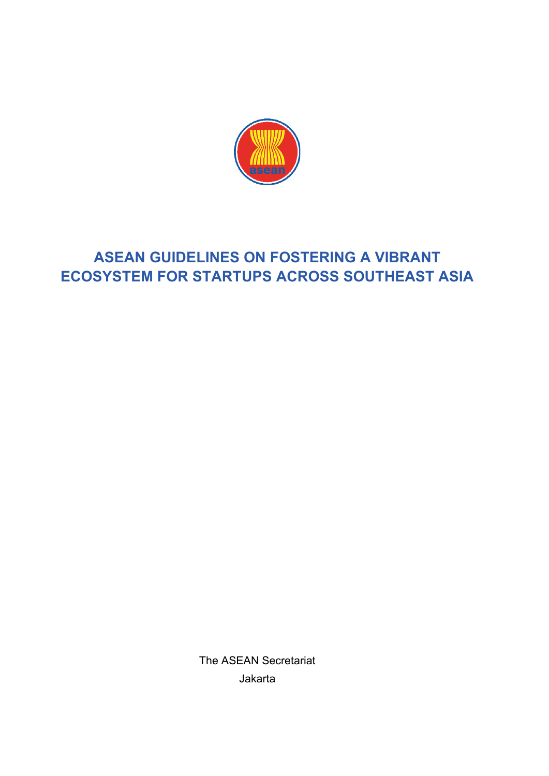

# **ASEAN GUIDELINES ON FOSTERING A VIBRANT ECOSYSTEM FOR STARTUPS ACROSS SOUTHEAST ASIA**

The ASEAN Secretariat Jakarta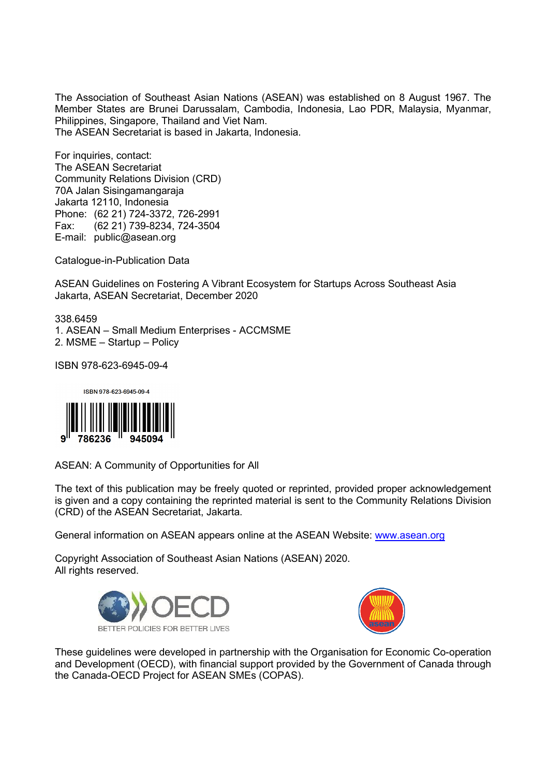The Association of Southeast Asian Nations (ASEAN) was established on 8 August 1967. The Member States are Brunei Darussalam, Cambodia, Indonesia, Lao PDR, Malaysia, Myanmar, Philippines, Singapore, Thailand and Viet Nam. The ASEAN Secretariat is based in Jakarta, Indonesia.

For inquiries, contact: The ASEAN Secretariat Community Relations Division (CRD) 70A Jalan Sisingamangaraja Jakarta 12110, Indonesia Phone: (62 21) 724-3372, 726-2991 Fax: (62 21) 739-8234, 724-3504 E-mail: public@asean.org

Catalogue-in-Publication Data

ASEAN Guidelines on Fostering A Vibrant Ecosystem for Startups Across Southeast Asia Jakarta, ASEAN Secretariat, December 2020

338.6459 1. ASEAN – Small Medium Enterprises - ACCMSME 2. MSME – Startup – Policy

ISBN 978-623-6945-09-4



ASEAN: A Community of Opportunities for All

The text of this publication may be freely quoted or reprinted, provided proper acknowledgement is given and a copy containing the reprinted material is sent to the Community Relations Division (CRD) of the ASEAN Secretariat, Jakarta.

General information on ASEAN appears online at the ASEAN Website: [www.asean.org](http://www.asean.org/)

Copyright Association of Southeast Asian Nations (ASEAN) 2020. All rights reserved.





These guidelines were developed in partnership with the Organisation for Economic Co-operation and Development (OECD), with financial support provided by the Government of Canada through the Canada-OECD Project for ASEAN SMEs (COPAS).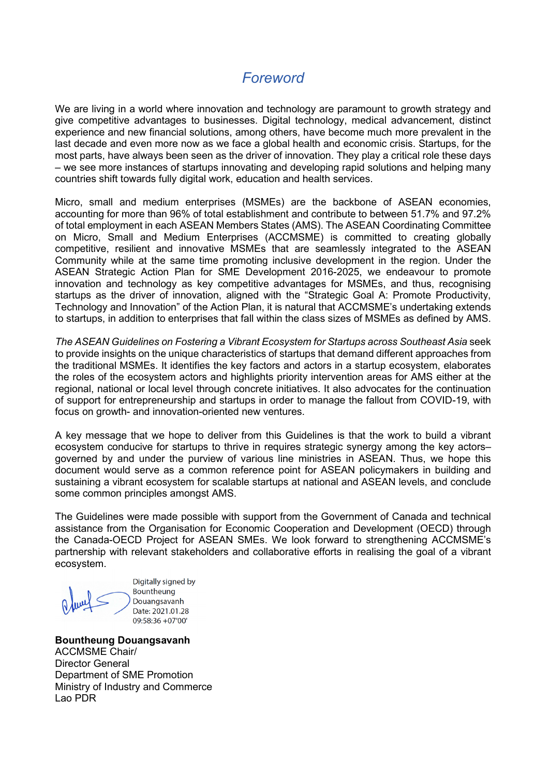### *Foreword*

We are living in a world where innovation and technology are paramount to growth strategy and give competitive advantages to businesses. Digital technology, medical advancement, distinct experience and new financial solutions, among others, have become much more prevalent in the last decade and even more now as we face a global health and economic crisis. Startups, for the most parts, have always been seen as the driver of innovation. They play a critical role these days – we see more instances of startups innovating and developing rapid solutions and helping many countries shift towards fully digital work, education and health services.

Micro, small and medium enterprises (MSMEs) are the backbone of ASEAN economies, accounting for more than 96% of total establishment and contribute to between 51.7% and 97.2% of total employment in each ASEAN Members States (AMS). The ASEAN Coordinating Committee on Micro, Small and Medium Enterprises (ACCMSME) is committed to creating globally competitive, resilient and innovative MSMEs that are seamlessly integrated to the ASEAN Community while at the same time promoting inclusive development in the region. Under the ASEAN Strategic Action Plan for SME Development 2016-2025, we endeavour to promote innovation and technology as key competitive advantages for MSMEs, and thus, recognising startups as the driver of innovation, aligned with the "Strategic Goal A: Promote Productivity, Technology and Innovation" of the Action Plan, it is natural that ACCMSME's undertaking extends to startups, in addition to enterprises that fall within the class sizes of MSMEs as defined by AMS.

*The ASEAN Guidelines on Fostering a Vibrant Ecosystem for Startups across Southeast Asia* seek to provide insights on the unique characteristics of startups that demand different approaches from the traditional MSMEs. It identifies the key factors and actors in a startup ecosystem, elaborates the roles of the ecosystem actors and highlights priority intervention areas for AMS either at the regional, national or local level through concrete initiatives. It also advocates for the continuation of support for entrepreneurship and startups in order to manage the fallout from COVID-19, with focus on growth- and innovation-oriented new ventures.

A key message that we hope to deliver from this Guidelines is that the work to build a vibrant ecosystem conducive for startups to thrive in requires strategic synergy among the key actors– governed by and under the purview of various line ministries in ASEAN. Thus, we hope this document would serve as a common reference point for ASEAN policymakers in building and sustaining a vibrant ecosystem for scalable startups at national and ASEAN levels, and conclude some common principles amongst AMS.

The Guidelines were made possible with support from the Government of Canada and technical assistance from the Organisation for Economic Cooperation and Development (OECD) through the Canada-OECD Project for ASEAN SMEs. We look forward to strengthening ACCMSME's partnership with relevant stakeholders and collaborative efforts in realising the goal of a vibrant ecosystem.

Digitally signed by Bountheung Douangsavanh Date: 2021.01.28 09:58:36 +07'00'

**Bountheung Douangsavanh**  ACCMSME Chair/ Director General Department of SME Promotion Ministry of Industry and Commerce Lao PDR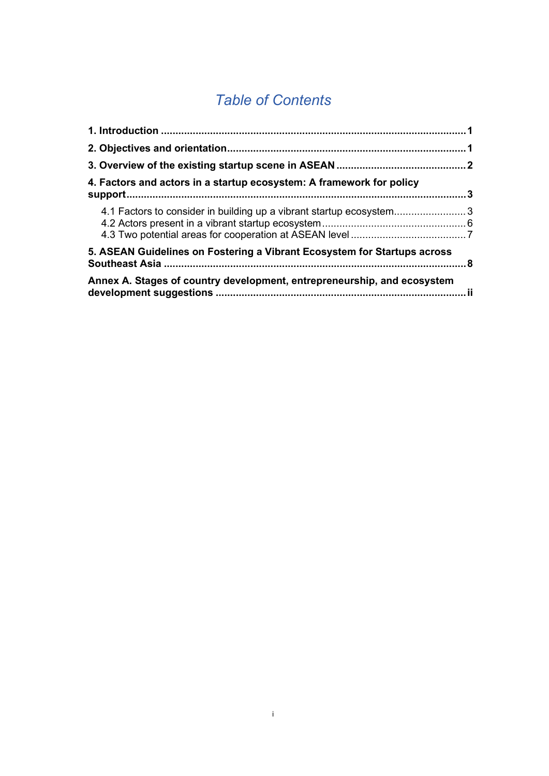# *Table of Contents*

| 4. Factors and actors in a startup ecosystem: A framework for policy     |  |
|--------------------------------------------------------------------------|--|
| 4.1 Factors to consider in building up a vibrant startup ecosystem3      |  |
| 5. ASEAN Guidelines on Fostering a Vibrant Ecosystem for Startups across |  |
| Annex A. Stages of country development, entrepreneurship, and ecosystem  |  |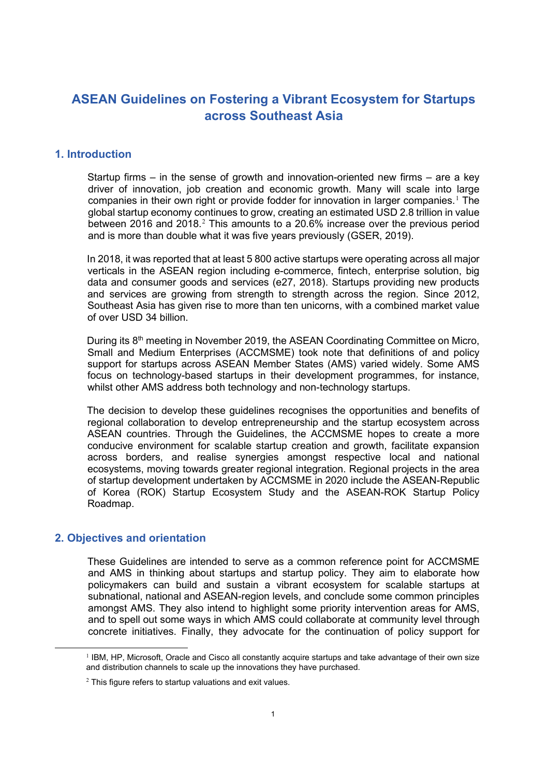### **ASEAN Guidelines on Fostering a Vibrant Ecosystem for Startups across Southeast Asia**

#### **1. Introduction**

Startup firms – in the sense of growth and innovation-oriented new firms – are a key driver of innovation, job creation and economic growth. Many will scale into large companies in their own right or provide fodder for innovation in larger companies.<sup>[1](#page-6-0)</sup> The global startup economy continues to grow, creating an estimated USD 2.8 trillion in value between [2](#page-6-1)016 and 2018.<sup>2</sup> This amounts to a 20.6% increase over the previous period and is more than double what it was five years previously (GSER, 2019).

In 2018, it was reported that at least 5 800 active startups were operating across all major verticals in the ASEAN region including e-commerce, fintech, enterprise solution, big data and consumer goods and services (e27, 2018). Startups providing new products and services are growing from strength to strength across the region. Since 2012, Southeast Asia has given rise to more than ten unicorns, with a combined market value of over USD 34 billion.

During its  $8<sup>th</sup>$  meeting in November 2019, the ASEAN Coordinating Committee on Micro, Small and Medium Enterprises (ACCMSME) took note that definitions of and policy support for startups across ASEAN Member States (AMS) varied widely. Some AMS focus on technology-based startups in their development programmes, for instance, whilst other AMS address both technology and non-technology startups.

The decision to develop these guidelines recognises the opportunities and benefits of regional collaboration to develop entrepreneurship and the startup ecosystem across ASEAN countries. Through the Guidelines, the ACCMSME hopes to create a more conducive environment for scalable startup creation and growth, facilitate expansion across borders, and realise synergies amongst respective local and national ecosystems, moving towards greater regional integration. Regional projects in the area of startup development undertaken by ACCMSME in 2020 include the ASEAN-Republic of Korea (ROK) Startup Ecosystem Study and the ASEAN-ROK Startup Policy Roadmap.

#### **2. Objectives and orientation**

These Guidelines are intended to serve as a common reference point for ACCMSME and AMS in thinking about startups and startup policy. They aim to elaborate how policymakers can build and sustain a vibrant ecosystem for scalable startups at subnational, national and ASEAN-region levels, and conclude some common principles amongst AMS. They also intend to highlight some priority intervention areas for AMS, and to spell out some ways in which AMS could collaborate at community level through concrete initiatives. Finally, they advocate for the continuation of policy support for

<span id="page-6-0"></span><sup>&</sup>lt;sup>1</sup> IBM, HP, Microsoft, Oracle and Cisco all constantly acquire startups and take advantage of their own size and distribution channels to scale up the innovations they have purchased.

<span id="page-6-1"></span> $2$  This figure refers to startup valuations and exit values.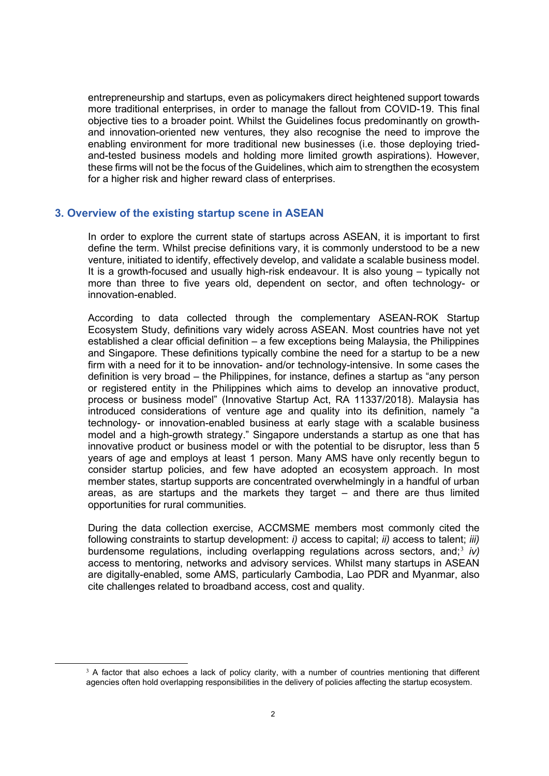entrepreneurship and startups, even as policymakers direct heightened support towards more traditional enterprises, in order to manage the fallout from COVID-19. This final objective ties to a broader point. Whilst the Guidelines focus predominantly on growthand innovation-oriented new ventures, they also recognise the need to improve the enabling environment for more traditional new businesses (i.e. those deploying triedand-tested business models and holding more limited growth aspirations). However, these firms will not be the focus of the Guidelines, which aim to strengthen the ecosystem for a higher risk and higher reward class of enterprises.

#### **3. Overview of the existing startup scene in ASEAN**

In order to explore the current state of startups across ASEAN, it is important to first define the term. Whilst precise definitions vary, it is commonly understood to be a new venture, initiated to identify, effectively develop, and validate a scalable business model. It is a growth-focused and usually high-risk endeavour. It is also young – typically not more than three to five years old, dependent on sector, and often technology- or innovation-enabled.

According to data collected through the complementary ASEAN-ROK Startup Ecosystem Study, definitions vary widely across ASEAN. Most countries have not yet established a clear official definition – a few exceptions being Malaysia, the Philippines and Singapore. These definitions typically combine the need for a startup to be a new firm with a need for it to be innovation- and/or technology-intensive. In some cases the definition is very broad – the Philippines, for instance, defines a startup as "any person or registered entity in the Philippines which aims to develop an innovative product, process or business model" (Innovative Startup Act, RA 11337/2018). Malaysia has introduced considerations of venture age and quality into its definition, namely "a technology- or innovation-enabled business at early stage with a scalable business model and a high-growth strategy." Singapore understands a startup as one that has innovative product or business model or with the potential to be disruptor, less than 5 years of age and employs at least 1 person. Many AMS have only recently begun to consider startup policies, and few have adopted an ecosystem approach. In most member states, startup supports are concentrated overwhelmingly in a handful of urban areas, as are startups and the markets they target – and there are thus limited opportunities for rural communities.

During the data collection exercise, ACCMSME members most commonly cited the following constraints to startup development: *i)* access to capital; *ii)* access to talent; *iii)* burdensome regulations, including overlapping regulations across sectors, and;[3](#page-7-0) *iv)* access to mentoring, networks and advisory services. Whilst many startups in ASEAN are digitally-enabled, some AMS, particularly Cambodia, Lao PDR and Myanmar, also cite challenges related to broadband access, cost and quality.

<span id="page-7-0"></span><sup>&</sup>lt;sup>3</sup> A factor that also echoes a lack of policy clarity, with a number of countries mentioning that different agencies often hold overlapping responsibilities in the delivery of policies affecting the startup ecosystem.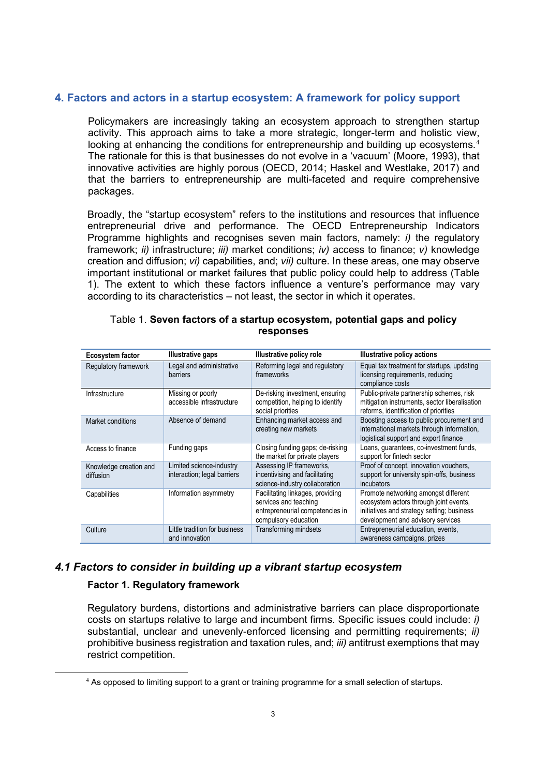#### **4. Factors and actors in a startup ecosystem: A framework for policy support**

Policymakers are increasingly taking an ecosystem approach to strengthen startup activity. This approach aims to take a more strategic, longer-term and holistic view, looking at enhancing the conditions for entrepreneurship and building up ecosystems.<sup>[4](#page-8-0)</sup> The rationale for this is that businesses do not evolve in a 'vacuum' (Moore, 1993), that innovative activities are highly porous (OECD, 2014; Haskel and Westlake, 2017) and that the barriers to entrepreneurship are multi-faceted and require comprehensive packages.

Broadly, the "startup ecosystem" refers to the institutions and resources that influence entrepreneurial drive and performance. The OECD Entrepreneurship Indicators Programme highlights and recognises seven main factors, namely: *i)* the regulatory framework; *ii)* infrastructure; *iii)* market conditions; *iv)* access to finance; *v)* knowledge creation and diffusion; *vi)* capabilities, and; *vii)* culture. In these areas, one may observe important institutional or market failures that public policy could help to address (Table 1). The extent to which these factors influence a venture's performance may vary according to its characteristics – not least, the sector in which it operates.

| <b>Ecosystem factor</b>             | Illustrative gaps                                       | <b>Illustrative policy role</b>                                                                                      | <b>Illustrative policy actions</b>                                                                                                                                |
|-------------------------------------|---------------------------------------------------------|----------------------------------------------------------------------------------------------------------------------|-------------------------------------------------------------------------------------------------------------------------------------------------------------------|
| Regulatory framework                | Legal and administrative<br>barriers                    | Reforming legal and regulatory<br>frameworks                                                                         | Equal tax treatment for startups, updating<br>licensing requirements, reducing<br>compliance costs                                                                |
| Infrastructure                      | Missing or poorly<br>accessible infrastructure          | De-risking investment, ensuring<br>competition, helping to identify<br>social priorities                             | Public-private partnership schemes, risk<br>mitigation instruments, sector liberalisation<br>reforms, identification of priorities                                |
| Market conditions                   | Absence of demand                                       | Enhancing market access and<br>creating new markets                                                                  | Boosting access to public procurement and<br>international markets through information,<br>logistical support and export finance                                  |
| Access to finance                   | Funding gaps                                            | Closing funding gaps; de-risking<br>the market for private players                                                   | Loans, guarantees, co-investment funds,<br>support for fintech sector                                                                                             |
| Knowledge creation and<br>diffusion | Limited science-industry<br>interaction; legal barriers | Assessing IP frameworks,<br>incentivising and facilitating<br>science-industry collaboration                         | Proof of concept, innovation vouchers,<br>support for university spin-offs, business<br>incubators                                                                |
| Capabilities                        | Information asymmetry                                   | Facilitating linkages, providing<br>services and teaching<br>entrepreneurial competencies in<br>compulsory education | Promote networking amongst different<br>ecosystem actors through joint events.<br>initiatives and strategy setting; business<br>development and advisory services |
| Culture                             | Little tradition for business<br>and innovation         | Transforming mindsets                                                                                                | Entrepreneurial education, events,<br>awareness campaigns, prizes                                                                                                 |

#### Table 1. **Seven factors of a startup ecosystem, potential gaps and policy responses**

#### *4.1 Factors to consider in building up a vibrant startup ecosystem*

#### **Factor 1. Regulatory framework**

Regulatory burdens, distortions and administrative barriers can place disproportionate costs on startups relative to large and incumbent firms. Specific issues could include: *i)* substantial, unclear and unevenly-enforced licensing and permitting requirements; *ii)* prohibitive business registration and taxation rules, and; *iii)* antitrust exemptions that may restrict competition.

<span id="page-8-0"></span><sup>&</sup>lt;sup>4</sup> As opposed to limiting support to a grant or training programme for a small selection of startups.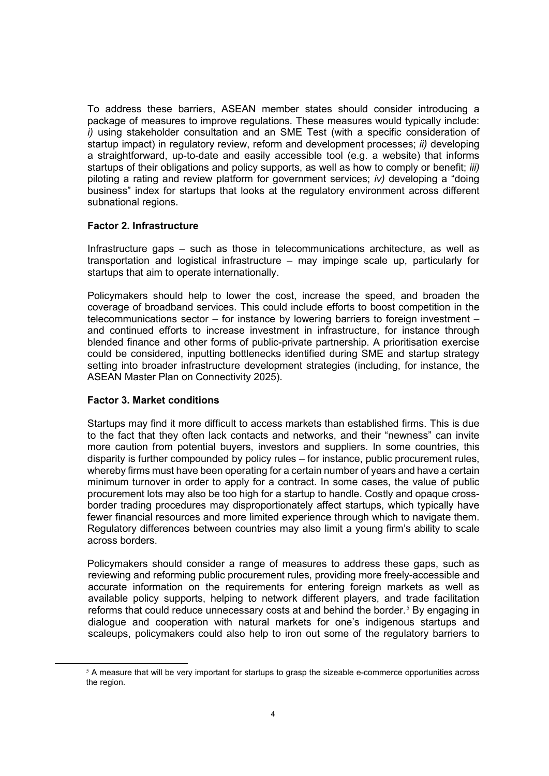To address these barriers, ASEAN member states should consider introducing a package of measures to improve regulations. These measures would typically include: *i)* using stakeholder consultation and an SME Test (with a specific consideration of startup impact) in regulatory review, reform and development processes; *ii)* developing a straightforward, up-to-date and easily accessible tool (e.g. a website) that informs startups of their obligations and policy supports, as well as how to comply or benefit; *iii)* piloting a rating and review platform for government services; *iv)* developing a "doing business" index for startups that looks at the regulatory environment across different subnational regions.

#### **Factor 2. Infrastructure**

Infrastructure gaps – such as those in telecommunications architecture, as well as transportation and logistical infrastructure – may impinge scale up, particularly for startups that aim to operate internationally.

Policymakers should help to lower the cost, increase the speed, and broaden the coverage of broadband services. This could include efforts to boost competition in the telecommunications sector – for instance by lowering barriers to foreign investment – and continued efforts to increase investment in infrastructure, for instance through blended finance and other forms of public-private partnership. A prioritisation exercise could be considered, inputting bottlenecks identified during SME and startup strategy setting into broader infrastructure development strategies (including, for instance, the ASEAN Master Plan on Connectivity 2025).

#### **Factor 3. Market conditions**

Startups may find it more difficult to access markets than established firms. This is due to the fact that they often lack contacts and networks, and their "newness" can invite more caution from potential buyers, investors and suppliers. In some countries, this disparity is further compounded by policy rules – for instance, public procurement rules, whereby firms must have been operating for a certain number of years and have a certain minimum turnover in order to apply for a contract. In some cases, the value of public procurement lots may also be too high for a startup to handle. Costly and opaque crossborder trading procedures may disproportionately affect startups, which typically have fewer financial resources and more limited experience through which to navigate them. Regulatory differences between countries may also limit a young firm's ability to scale across borders.

Policymakers should consider a range of measures to address these gaps, such as reviewing and reforming public procurement rules, providing more freely-accessible and accurate information on the requirements for entering foreign markets as well as available policy supports, helping to network different players, and trade facilitation reforms that could reduce unnecessary costs at and behind the border.<sup>[5](#page-9-0)</sup> By engaging in dialogue and cooperation with natural markets for one's indigenous startups and scaleups, policymakers could also help to iron out some of the regulatory barriers to

<span id="page-9-0"></span> $5$  A measure that will be very important for startups to grasp the sizeable e-commerce opportunities across the region.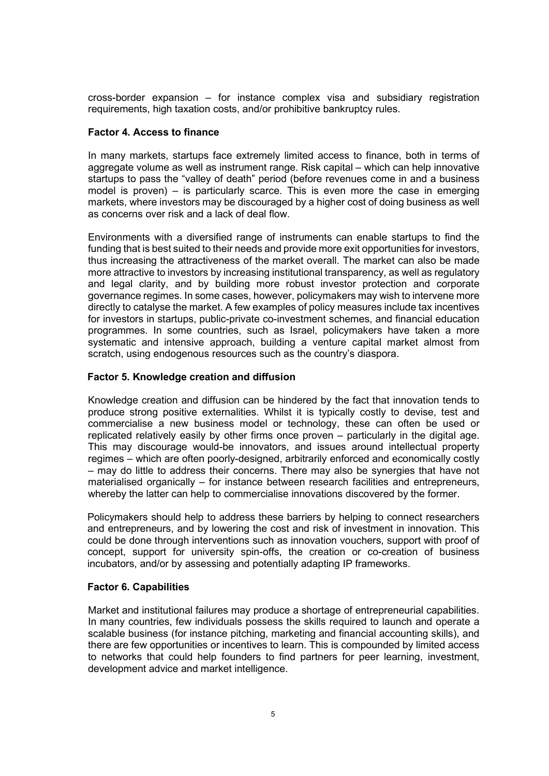cross-border expansion – for instance complex visa and subsidiary registration requirements, high taxation costs, and/or prohibitive bankruptcy rules.

#### **Factor 4. Access to finance**

In many markets, startups face extremely limited access to finance, both in terms of aggregate volume as well as instrument range. Risk capital – which can help innovative startups to pass the "valley of death" period (before revenues come in and a business model is proven) – is particularly scarce. This is even more the case in emerging markets, where investors may be discouraged by a higher cost of doing business as well as concerns over risk and a lack of deal flow.

Environments with a diversified range of instruments can enable startups to find the funding that is best suited to their needs and provide more exit opportunities for investors, thus increasing the attractiveness of the market overall. The market can also be made more attractive to investors by increasing institutional transparency, as well as regulatory and legal clarity, and by building more robust investor protection and corporate governance regimes. In some cases, however, policymakers may wish to intervene more directly to catalyse the market. A few examples of policy measures include tax incentives for investors in startups, public-private co-investment schemes, and financial education programmes. In some countries, such as Israel, policymakers have taken a more systematic and intensive approach, building a venture capital market almost from scratch, using endogenous resources such as the country's diaspora.

#### **Factor 5. Knowledge creation and diffusion**

Knowledge creation and diffusion can be hindered by the fact that innovation tends to produce strong positive externalities. Whilst it is typically costly to devise, test and commercialise a new business model or technology, these can often be used or replicated relatively easily by other firms once proven – particularly in the digital age. This may discourage would-be innovators, and issues around intellectual property regimes – which are often poorly-designed, arbitrarily enforced and economically costly – may do little to address their concerns. There may also be synergies that have not materialised organically – for instance between research facilities and entrepreneurs, whereby the latter can help to commercialise innovations discovered by the former.

Policymakers should help to address these barriers by helping to connect researchers and entrepreneurs, and by lowering the cost and risk of investment in innovation. This could be done through interventions such as innovation vouchers, support with proof of concept, support for university spin-offs, the creation or co-creation of business incubators, and/or by assessing and potentially adapting IP frameworks.

#### **Factor 6. Capabilities**

Market and institutional failures may produce a shortage of entrepreneurial capabilities. In many countries, few individuals possess the skills required to launch and operate a scalable business (for instance pitching, marketing and financial accounting skills), and there are few opportunities or incentives to learn. This is compounded by limited access to networks that could help founders to find partners for peer learning, investment, development advice and market intelligence.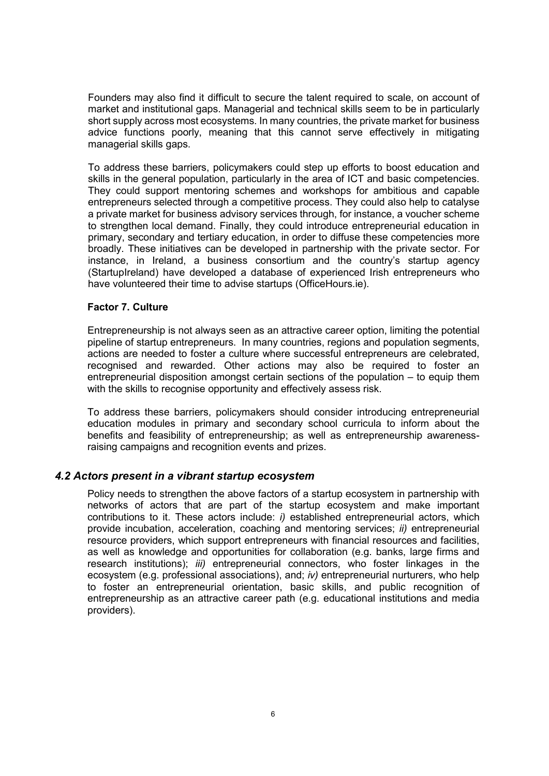Founders may also find it difficult to secure the talent required to scale, on account of market and institutional gaps. Managerial and technical skills seem to be in particularly short supply across most ecosystems. In many countries, the private market for business advice functions poorly, meaning that this cannot serve effectively in mitigating managerial skills gaps.

To address these barriers, policymakers could step up efforts to boost education and skills in the general population, particularly in the area of ICT and basic competencies. They could support mentoring schemes and workshops for ambitious and capable entrepreneurs selected through a competitive process. They could also help to catalyse a private market for business advisory services through, for instance, a voucher scheme to strengthen local demand. Finally, they could introduce entrepreneurial education in primary, secondary and tertiary education, in order to diffuse these competencies more broadly. These initiatives can be developed in partnership with the private sector. For instance, in Ireland, a business consortium and the country's startup agency (StartupIreland) have developed a database of experienced Irish entrepreneurs who have volunteered their time to advise startups (OfficeHours.ie).

#### **Factor 7. Culture**

Entrepreneurship is not always seen as an attractive career option, limiting the potential pipeline of startup entrepreneurs. In many countries, regions and population segments, actions are needed to foster a culture where successful entrepreneurs are celebrated, recognised and rewarded. Other actions may also be required to foster an entrepreneurial disposition amongst certain sections of the population – to equip them with the skills to recognise opportunity and effectively assess risk.

To address these barriers, policymakers should consider introducing entrepreneurial education modules in primary and secondary school curricula to inform about the benefits and feasibility of entrepreneurship; as well as entrepreneurship awarenessraising campaigns and recognition events and prizes.

#### *4.2 Actors present in a vibrant startup ecosystem*

Policy needs to strengthen the above factors of a startup ecosystem in partnership with networks of actors that are part of the startup ecosystem and make important contributions to it. These actors include: *i)* established entrepreneurial actors, which provide incubation, acceleration, coaching and mentoring services; *ii)* entrepreneurial resource providers, which support entrepreneurs with financial resources and facilities, as well as knowledge and opportunities for collaboration (e.g. banks, large firms and research institutions); *iii)* entrepreneurial connectors, who foster linkages in the ecosystem (e.g. professional associations), and; *iv)* entrepreneurial nurturers, who help to foster an entrepreneurial orientation, basic skills, and public recognition of entrepreneurship as an attractive career path (e.g. educational institutions and media providers).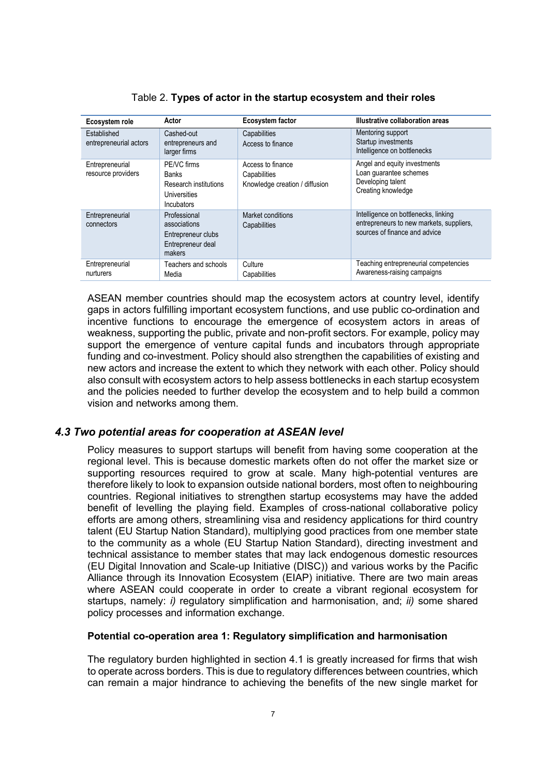| Ecosystem role                        | Actor                                                                                     | Ecosystem factor                                                    | Illustrative collaboration areas                                                                                  |
|---------------------------------------|-------------------------------------------------------------------------------------------|---------------------------------------------------------------------|-------------------------------------------------------------------------------------------------------------------|
| Established<br>entrepreneurial actors | Cashed-out<br>entrepreneurs and<br>larger firms                                           | Capabilities<br>Access to finance                                   | Mentoring support<br>Startup investments<br>Intelligence on bottlenecks                                           |
| Entrepreneurial<br>resource providers | PE/VC firms<br><b>Banks</b><br>Research institutions<br>Universities<br><b>Incubators</b> | Access to finance<br>Capabilities<br>Knowledge creation / diffusion | Angel and equity investments<br>Loan quarantee schemes<br>Developing talent<br>Creating knowledge                 |
| Entrepreneurial<br>connectors         | Professional<br>associations<br>Entrepreneur clubs<br>Entrepreneur deal<br>makers         | Market conditions<br>Capabilities                                   | Intelligence on bottlenecks, linking<br>entrepreneurs to new markets, suppliers,<br>sources of finance and advice |
| Entrepreneurial<br>nurturers          | Teachers and schools<br>Media                                                             | Culture<br>Capabilities                                             | Teaching entrepreneurial competencies<br>Awareness-raising campaigns                                              |

Table 2. **Types of actor in the startup ecosystem and their roles**

ASEAN member countries should map the ecosystem actors at country level, identify gaps in actors fulfilling important ecosystem functions, and use public co-ordination and incentive functions to encourage the emergence of ecosystem actors in areas of weakness, supporting the public, private and non-profit sectors. For example, policy may support the emergence of venture capital funds and incubators through appropriate funding and co-investment. Policy should also strengthen the capabilities of existing and new actors and increase the extent to which they network with each other. Policy should also consult with ecosystem actors to help assess bottlenecks in each startup ecosystem and the policies needed to further develop the ecosystem and to help build a common vision and networks among them.

#### *4.3 Two potential areas for cooperation at ASEAN level*

Policy measures to support startups will benefit from having some cooperation at the regional level. This is because domestic markets often do not offer the market size or supporting resources required to grow at scale. Many high-potential ventures are therefore likely to look to expansion outside national borders, most often to neighbouring countries. Regional initiatives to strengthen startup ecosystems may have the added benefit of levelling the playing field. Examples of cross-national collaborative policy efforts are among others, streamlining visa and residency applications for third country talent (EU Startup Nation Standard), multiplying good practices from one member state to the community as a whole (EU Startup Nation Standard), directing investment and technical assistance to member states that may lack endogenous domestic resources (EU Digital Innovation and Scale-up Initiative (DISC)) and various works by the Pacific Alliance through its Innovation Ecosystem (EIAP) initiative. There are two main areas where ASEAN could cooperate in order to create a vibrant regional ecosystem for startups, namely: *i)* regulatory simplification and harmonisation, and; *ii)* some shared policy processes and information exchange.

#### **Potential co-operation area 1: Regulatory simplification and harmonisation**

The regulatory burden highlighted in section 4.1 is greatly increased for firms that wish to operate across borders. This is due to regulatory differences between countries, which can remain a major hindrance to achieving the benefits of the new single market for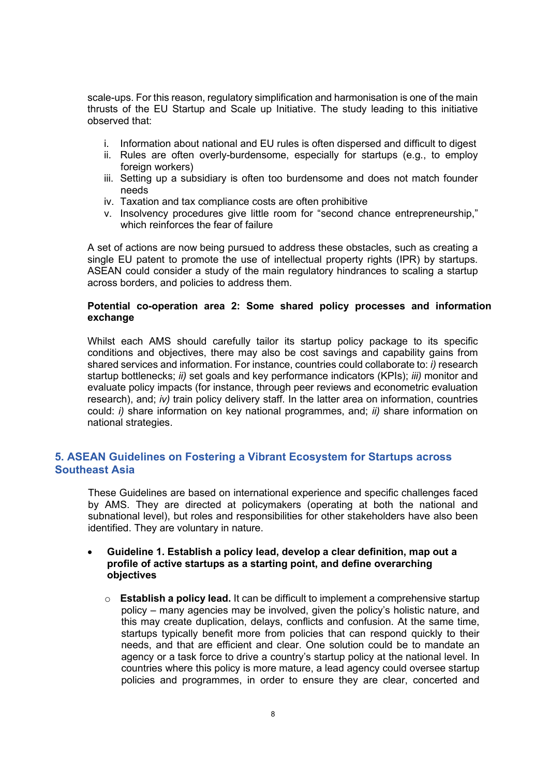scale-ups. For this reason, regulatory simplification and harmonisation is one of the main thrusts of the EU Startup and Scale up Initiative. The study leading to this initiative observed that:

- i. Information about national and EU rules is often dispersed and difficult to digest
- ii. Rules are often overly-burdensome, especially for startups (e.g., to employ foreign workers)
- iii. Setting up a subsidiary is often too burdensome and does not match founder needs
- iv. Taxation and tax compliance costs are often prohibitive
- v. Insolvency procedures give little room for "second chance entrepreneurship," which reinforces the fear of failure

A set of actions are now being pursued to address these obstacles, such as creating a single EU patent to promote the use of intellectual property rights (IPR) by startups. ASEAN could consider a study of the main regulatory hindrances to scaling a startup across borders, and policies to address them.

#### **Potential co-operation area 2: Some shared policy processes and information exchange**

Whilst each AMS should carefully tailor its startup policy package to its specific conditions and objectives, there may also be cost savings and capability gains from shared services and information. For instance, countries could collaborate to: *i)* research startup bottlenecks; *ii)* set goals and key performance indicators (KPIs); *iii)* monitor and evaluate policy impacts (for instance, through peer reviews and econometric evaluation research), and; *iv)* train policy delivery staff. In the latter area on information, countries could: *i)* share information on key national programmes, and; *ii)* share information on national strategies.

#### **5. ASEAN Guidelines on Fostering a Vibrant Ecosystem for Startups across Southeast Asia**

These Guidelines are based on international experience and specific challenges faced by AMS. They are directed at policymakers (operating at both the national and subnational level), but roles and responsibilities for other stakeholders have also been identified. They are voluntary in nature.

#### • **Guideline 1. Establish a policy lead, develop a clear definition, map out a profile of active startups as a starting point, and define overarching objectives**

o **Establish a policy lead.** It can be difficult to implement a comprehensive startup policy – many agencies may be involved, given the policy's holistic nature, and this may create duplication, delays, conflicts and confusion. At the same time, startups typically benefit more from policies that can respond quickly to their needs, and that are efficient and clear. One solution could be to mandate an agency or a task force to drive a country's startup policy at the national level. In countries where this policy is more mature, a lead agency could oversee startup policies and programmes, in order to ensure they are clear, concerted and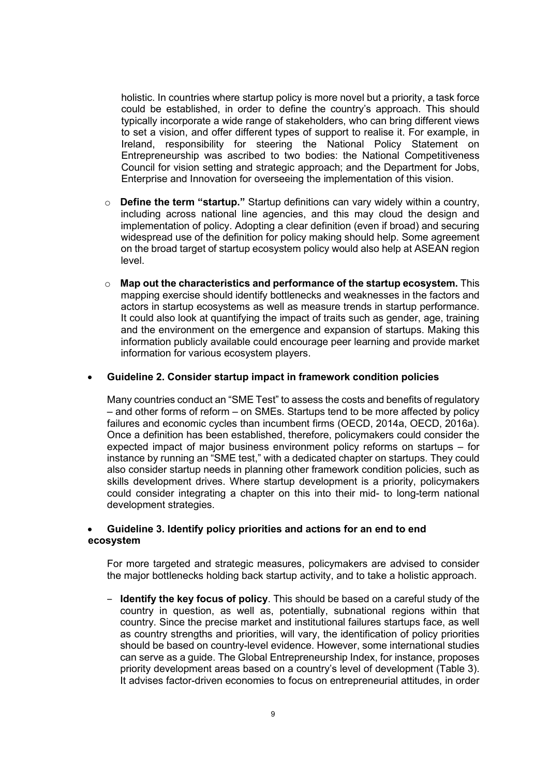holistic. In countries where startup policy is more novel but a priority, a task force could be established, in order to define the country's approach. This should typically incorporate a wide range of stakeholders, who can bring different views to set a vision, and offer different types of support to realise it. For example, in Ireland, responsibility for steering the National Policy Statement on Entrepreneurship was ascribed to two bodies: the National Competitiveness Council for vision setting and strategic approach; and the Department for Jobs, Enterprise and Innovation for overseeing the implementation of this vision.

- o **Define the term "startup."** Startup definitions can vary widely within a country, including across national line agencies, and this may cloud the design and implementation of policy. Adopting a clear definition (even if broad) and securing widespread use of the definition for policy making should help. Some agreement on the broad target of startup ecosystem policy would also help at ASEAN region level.
- o **Map out the characteristics and performance of the startup ecosystem.** This mapping exercise should identify bottlenecks and weaknesses in the factors and actors in startup ecosystems as well as measure trends in startup performance. It could also look at quantifying the impact of traits such as gender, age, training and the environment on the emergence and expansion of startups. Making this information publicly available could encourage peer learning and provide market information for various ecosystem players.

#### • **Guideline 2. Consider startup impact in framework condition policies**

Many countries conduct an "SME Test" to assess the costs and benefits of regulatory – and other forms of reform – on SMEs. Startups tend to be more affected by policy failures and economic cycles than incumbent firms (OECD, 2014a, OECD, 2016a). Once a definition has been established, therefore, policymakers could consider the expected impact of major business environment policy reforms on startups – for instance by running an "SME test," with a dedicated chapter on startups. They could also consider startup needs in planning other framework condition policies, such as skills development drives. Where startup development is a priority, policymakers could consider integrating a chapter on this into their mid- to long-term national development strategies.

#### • **Guideline 3. Identify policy priorities and actions for an end to end ecosystem**

For more targeted and strategic measures, policymakers are advised to consider the major bottlenecks holding back startup activity, and to take a holistic approach.

‒ **Identify the key focus of policy**. This should be based on a careful study of the country in question, as well as, potentially, subnational regions within that country. Since the precise market and institutional failures startups face, as well as country strengths and priorities, will vary, the identification of policy priorities should be based on country-level evidence. However, some international studies can serve as a guide. The Global Entrepreneurship Index, for instance, proposes priority development areas based on a country's level of development (Table 3). It advises factor-driven economies to focus on entrepreneurial attitudes, in order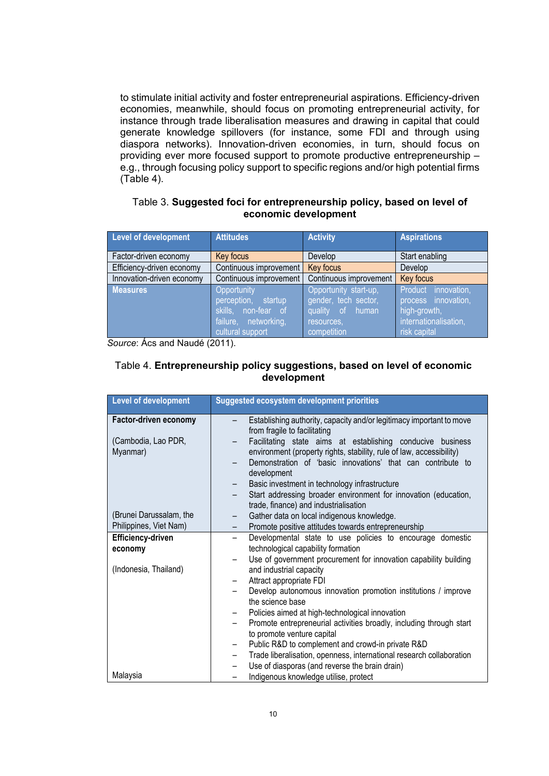to stimulate initial activity and foster entrepreneurial aspirations. Efficiency-driven economies, meanwhile, should focus on promoting entrepreneurial activity, for instance through trade liberalisation measures and drawing in capital that could generate knowledge spillovers (for instance, some FDI and through using diaspora networks). Innovation-driven economies, in turn, should focus on providing ever more focused support to promote productive entrepreneurship – e.g., through focusing policy support to specific regions and/or high potential firms (Table 4).

#### Table 3. **Suggested foci for entrepreneurship policy, based on level of economic development**

| <b>Level of development</b> | <b>Attitudes</b>       | <b>Activity</b>        | <b>Aspirations</b>     |
|-----------------------------|------------------------|------------------------|------------------------|
| Factor-driven economy       | Key focus              | Develop                | Start enabling         |
| Efficiency-driven economy   | Continuous improvement | Key focus              | Develop                |
| Innovation-driven economy   | Continuous improvement | Continuous improvement | Key focus              |
| <b>Measures</b>             | Opportunity            | Opportunity start-up,  | Product<br>innovation, |
|                             | perception, startup,   | gender, tech sector,   | process innovation,    |
|                             | skills, non-fear of    | quality of human       | high-growth,           |
|                             | failure, networking,   | resources.             | internationalisation,  |
|                             | cultural support       | competition            | risk capital           |

*Source*: Ács and Naudé (2011).

#### Table 4. **Entrepreneurship policy suggestions, based on level of economic development**

| Level of development            | <b>Suggested ecosystem development priorities</b>                                                                                                                                                                                                                                                                                         |
|---------------------------------|-------------------------------------------------------------------------------------------------------------------------------------------------------------------------------------------------------------------------------------------------------------------------------------------------------------------------------------------|
| Factor-driven economy           | Establishing authority, capacity and/or legitimacy important to move<br>from fragile to facilitating                                                                                                                                                                                                                                      |
| (Cambodia, Lao PDR,<br>Myanmar) | Facilitating state aims at establishing conducive business<br>environment (property rights, stability, rule of law, accessibility)<br>Demonstration of 'basic innovations' that can contribute to<br>development<br>Basic investment in technology infrastructure<br>Start addressing broader environment for innovation (education,<br>- |
|                                 | trade, finance) and industrialisation                                                                                                                                                                                                                                                                                                     |
| (Brunei Darussalam, the         | Gather data on local indigenous knowledge.                                                                                                                                                                                                                                                                                                |
| Philippines, Viet Nam)          | Promote positive attitudes towards entrepreneurship                                                                                                                                                                                                                                                                                       |
| Efficiency-driven<br>economy    | Developmental state to use policies to encourage domestic<br>technological capability formation<br>Use of government procurement for innovation capability building                                                                                                                                                                       |
| (Indonesia, Thailand)           | and industrial capacity<br>Attract appropriate FDI                                                                                                                                                                                                                                                                                        |
|                                 | Develop autonomous innovation promotion institutions / improve<br>the science base                                                                                                                                                                                                                                                        |
|                                 | Policies aimed at high-technological innovation                                                                                                                                                                                                                                                                                           |
|                                 | Promote entrepreneurial activities broadly, including through start<br>to promote venture capital                                                                                                                                                                                                                                         |
|                                 | Public R&D to complement and crowd-in private R&D<br>-                                                                                                                                                                                                                                                                                    |
|                                 | Trade liberalisation, openness, international research collaboration<br>—                                                                                                                                                                                                                                                                 |
|                                 | Use of diasporas (and reverse the brain drain)<br>-                                                                                                                                                                                                                                                                                       |
| Malaysia                        | Indigenous knowledge utilise, protect                                                                                                                                                                                                                                                                                                     |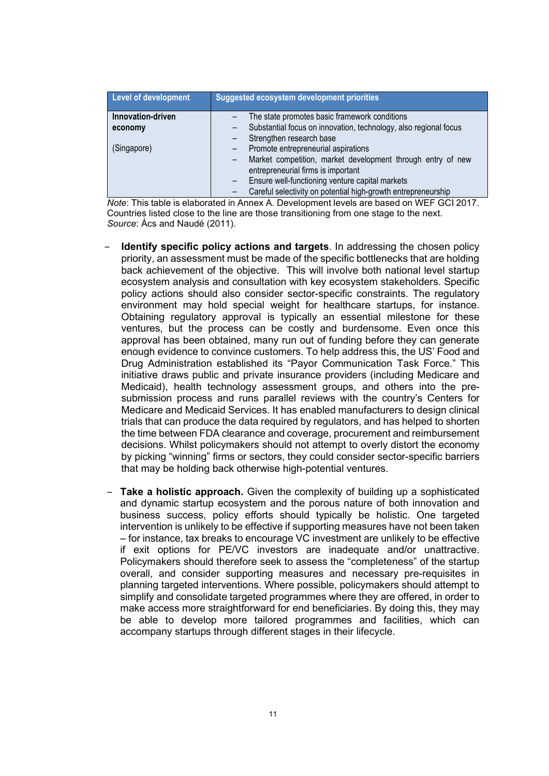| Level of development | <b>Suggested ecosystem development priorities</b>                                                 |
|----------------------|---------------------------------------------------------------------------------------------------|
| Innovation-driven    | The state promotes basic framework conditions                                                     |
| economy              | Substantial focus on innovation, technology, also regional focus                                  |
|                      | Strengthen research base                                                                          |
| (Singapore)          | Promote entrepreneurial aspirations                                                               |
|                      | Market competition, market development through entry of new<br>entrepreneurial firms is important |
|                      | Ensure well-functioning venture capital markets                                                   |
|                      | Careful selectivity on potential high-growth entrepreneurship                                     |

*Note*: This table is elaborated in Annex A. Development levels are based on WEF GCI 2017. Countries listed close to the line are those transitioning from one stage to the next. *Source*: Ács and Naudé (2011).

- ‒ **Identify specific policy actions and targets**. In addressing the chosen policy priority, an assessment must be made of the specific bottlenecks that are holding back achievement of the objective. This will involve both national level startup ecosystem analysis and consultation with key ecosystem stakeholders. Specific policy actions should also consider sector-specific constraints. The regulatory environment may hold special weight for healthcare startups, for instance. Obtaining regulatory approval is typically an essential milestone for these ventures, but the process can be costly and burdensome. Even once this approval has been obtained, many run out of funding before they can generate enough evidence to convince customers. To help address this, the US' Food and Drug Administration established its "Payor Communication Task Force." This initiative draws public and private insurance providers (including Medicare and Medicaid), health technology assessment groups, and others into the presubmission process and runs parallel reviews with the country's Centers for Medicare and Medicaid Services. It has enabled manufacturers to design clinical trials that can produce the data required by regulators, and has helped to shorten the time between FDA clearance and coverage, procurement and reimbursement decisions. Whilst policymakers should not attempt to overly distort the economy by picking "winning" firms or sectors, they could consider sector-specific barriers that may be holding back otherwise high-potential ventures.
- ‒ **Take a holistic approach.** Given the complexity of building up a sophisticated and dynamic startup ecosystem and the porous nature of both innovation and business success, policy efforts should typically be holistic. One targeted intervention is unlikely to be effective if supporting measures have not been taken – for instance, tax breaks to encourage VC investment are unlikely to be effective if exit options for PE/VC investors are inadequate and/or unattractive. Policymakers should therefore seek to assess the "completeness" of the startup overall, and consider supporting measures and necessary pre-requisites in planning targeted interventions. Where possible, policymakers should attempt to simplify and consolidate targeted programmes where they are offered, in order to make access more straightforward for end beneficiaries. By doing this, they may be able to develop more tailored programmes and facilities, which can accompany startups through different stages in their lifecycle.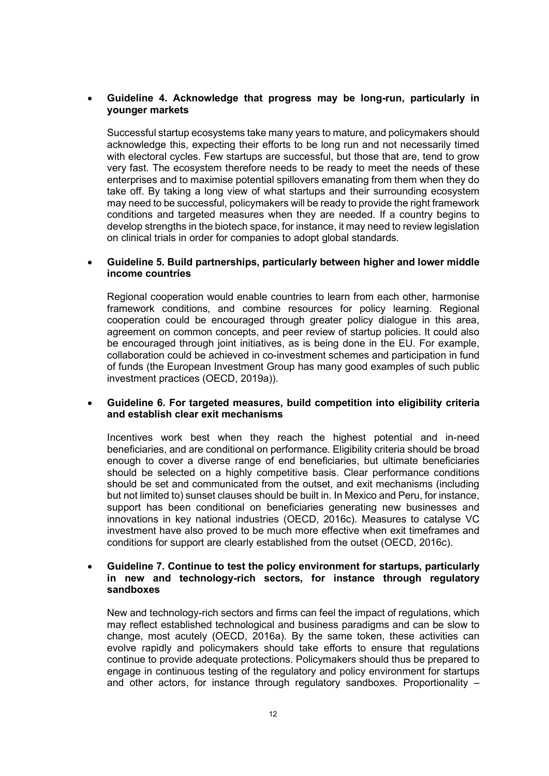#### • **Guideline 4. Acknowledge that progress may be long-run, particularly in younger markets**

Successful startup ecosystems take many years to mature, and policymakers should acknowledge this, expecting their efforts to be long run and not necessarily timed with electoral cycles. Few startups are successful, but those that are, tend to grow very fast. The ecosystem therefore needs to be ready to meet the needs of these enterprises and to maximise potential spillovers emanating from them when they do take off. By taking a long view of what startups and their surrounding ecosystem may need to be successful, policymakers will be ready to provide the right framework conditions and targeted measures when they are needed. If a country begins to develop strengths in the biotech space, for instance, it may need to review legislation on clinical trials in order for companies to adopt global standards.

#### • **Guideline 5. Build partnerships, particularly between higher and lower middle income countries**

Regional cooperation would enable countries to learn from each other, harmonise framework conditions, and combine resources for policy learning. Regional cooperation could be encouraged through greater policy dialogue in this area, agreement on common concepts, and peer review of startup policies. It could also be encouraged through joint initiatives, as is being done in the EU. For example, collaboration could be achieved in co-investment schemes and participation in fund of funds (the European Investment Group has many good examples of such public investment practices (OECD, 2019a)).

#### • **Guideline 6. For targeted measures, build competition into eligibility criteria and establish clear exit mechanisms**

Incentives work best when they reach the highest potential and in-need beneficiaries, and are conditional on performance. Eligibility criteria should be broad enough to cover a diverse range of end beneficiaries, but ultimate beneficiaries should be selected on a highly competitive basis. Clear performance conditions should be set and communicated from the outset, and exit mechanisms (including but not limited to) sunset clauses should be built in. In Mexico and Peru, for instance, support has been conditional on beneficiaries generating new businesses and innovations in key national industries (OECD, 2016c). Measures to catalyse VC investment have also proved to be much more effective when exit timeframes and conditions for support are clearly established from the outset (OECD, 2016c).

#### • **Guideline 7. Continue to test the policy environment for startups, particularly in new and technology-rich sectors, for instance through regulatory sandboxes**

New and technology-rich sectors and firms can feel the impact of regulations, which may reflect established technological and business paradigms and can be slow to change, most acutely (OECD, 2016a). By the same token, these activities can evolve rapidly and policymakers should take efforts to ensure that regulations continue to provide adequate protections. Policymakers should thus be prepared to engage in continuous testing of the regulatory and policy environment for startups and other actors, for instance through regulatory sandboxes. Proportionality –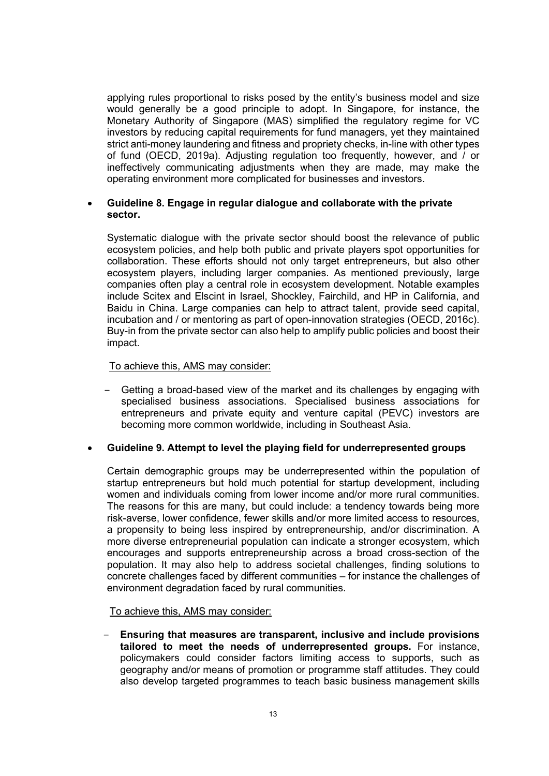applying rules proportional to risks posed by the entity's business model and size would generally be a good principle to adopt. In Singapore, for instance, the Monetary Authority of Singapore (MAS) simplified the regulatory regime for VC investors by reducing capital requirements for fund managers, yet they maintained strict anti-money laundering and fitness and propriety checks, in-line with other types of fund (OECD, 2019a). Adjusting regulation too frequently, however, and / or ineffectively communicating adjustments when they are made, may make the operating environment more complicated for businesses and investors.

#### • **Guideline 8. Engage in regular dialogue and collaborate with the private sector.**

Systematic dialogue with the private sector should boost the relevance of public ecosystem policies, and help both public and private players spot opportunities for collaboration. These efforts should not only target entrepreneurs, but also other ecosystem players, including larger companies. As mentioned previously, large companies often play a central role in ecosystem development. Notable examples include Scitex and Elscint in Israel, Shockley, Fairchild, and HP in California, and Baidu in China. Large companies can help to attract talent, provide seed capital, incubation and / or mentoring as part of open-innovation strategies (OECD, 2016c). Buy-in from the private sector can also help to amplify public policies and boost their impact.

To achieve this, AMS may consider:

‒ Getting a broad-based view of the market and its challenges by engaging with specialised business associations. Specialised business associations for entrepreneurs and private equity and venture capital (PEVC) investors are becoming more common worldwide, including in Southeast Asia.

#### • **Guideline 9. Attempt to level the playing field for underrepresented groups**

Certain demographic groups may be underrepresented within the population of startup entrepreneurs but hold much potential for startup development, including women and individuals coming from lower income and/or more rural communities. The reasons for this are many, but could include: a tendency towards being more risk-averse, lower confidence, fewer skills and/or more limited access to resources, a propensity to being less inspired by entrepreneurship, and/or discrimination. A more diverse entrepreneurial population can indicate a stronger ecosystem, which encourages and supports entrepreneurship across a broad cross-section of the population. It may also help to address societal challenges, finding solutions to concrete challenges faced by different communities – for instance the challenges of environment degradation faced by rural communities.

#### To achieve this, AMS may consider:

‒ **Ensuring that measures are transparent, inclusive and include provisions tailored to meet the needs of underrepresented groups.** For instance, policymakers could consider factors limiting access to supports, such as geography and/or means of promotion or programme staff attitudes. They could also develop targeted programmes to teach basic business management skills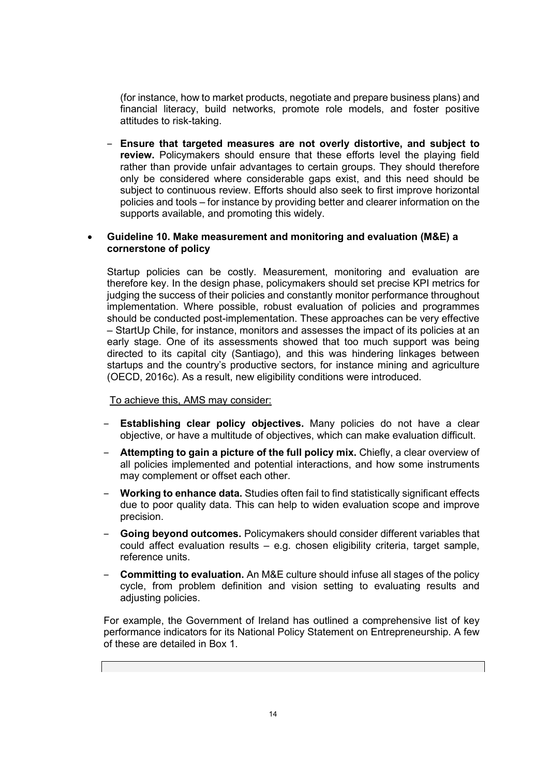(for instance, how to market products, negotiate and prepare business plans) and financial literacy, build networks, promote role models, and foster positive attitudes to risk-taking.

‒ **Ensure that targeted measures are not overly distortive, and subject to review.** Policymakers should ensure that these efforts level the playing field rather than provide unfair advantages to certain groups. They should therefore only be considered where considerable gaps exist, and this need should be subject to continuous review. Efforts should also seek to first improve horizontal policies and tools – for instance by providing better and clearer information on the supports available, and promoting this widely.

#### • **Guideline 10. Make measurement and monitoring and evaluation (M&E) a cornerstone of policy**

Startup policies can be costly. Measurement, monitoring and evaluation are therefore key. In the design phase, policymakers should set precise KPI metrics for judging the success of their policies and constantly monitor performance throughout implementation. Where possible, robust evaluation of policies and programmes should be conducted post-implementation. These approaches can be very effective – StartUp Chile, for instance, monitors and assesses the impact of its policies at an early stage. One of its assessments showed that too much support was being directed to its capital city (Santiago), and this was hindering linkages between startups and the country's productive sectors, for instance mining and agriculture (OECD, 2016c). As a result, new eligibility conditions were introduced.

#### To achieve this, AMS may consider:

- ‒ **Establishing clear policy objectives.** Many policies do not have a clear objective, or have a multitude of objectives, which can make evaluation difficult.
- ‒ **Attempting to gain a picture of the full policy mix.** Chiefly, a clear overview of all policies implemented and potential interactions, and how some instruments may complement or offset each other.
- ‒ **Working to enhance data.** Studies often fail to find statistically significant effects due to poor quality data. This can help to widen evaluation scope and improve precision.
- ‒ **Going beyond outcomes.** Policymakers should consider different variables that could affect evaluation results – e.g. chosen eligibility criteria, target sample, reference units.
- ‒ **Committing to evaluation.** An M&E culture should infuse all stages of the policy cycle, from problem definition and vision setting to evaluating results and adjusting policies.

For example, the Government of Ireland has outlined a comprehensive list of key performance indicators for its National Policy Statement on Entrepreneurship. A few of these are detailed in Box 1.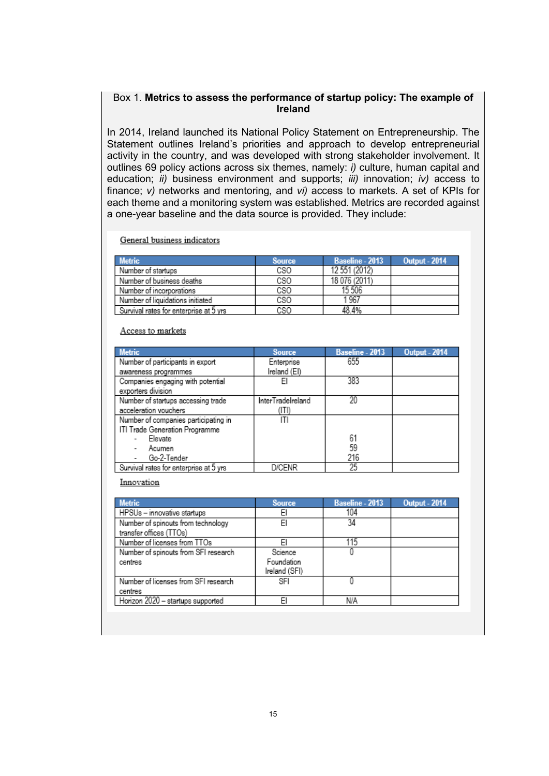#### Box 1. **Metrics to assess the performance of startup policy: The example of Ireland**

In 2014, Ireland launched its National Policy Statement on Entrepreneurship. The Statement outlines Ireland's priorities and approach to develop entrepreneurial activity in the country, and was developed with strong stakeholder involvement. It outlines 69 policy actions across six themes, namely: *i)* culture, human capital and education; *ii)* business environment and supports; *iii)* innovation; *iv)* access to finance; *v)* networks and mentoring, and *vi)* access to markets. A set of KPIs for each theme and a monitoring system was established. Metrics are recorded against a one-year baseline and the data source is provided. They include:

General business indicators

| <b>Metric</b>                          | <b>Source</b> | Baseline - 2013 | <b>Output - 2014</b> |
|----------------------------------------|---------------|-----------------|----------------------|
| Number of startups                     | CSO           | 12 551 (2012)   |                      |
| Number of business deaths              | CSO           | 18 076 (2011)   |                      |
| Number of incorporations               | CSO           | 15 506          |                      |
| Number of liquidations initiated       | CSO           | 1967            |                      |
| Survival rates for enterprise at 5 vrs | cso           | 48.4%           |                      |

#### Access to markets

| <b>Metric</b>                           | <b>Source</b>     | <b>Baseline - 2013</b> | <b>Output - 2014</b> |
|-----------------------------------------|-------------------|------------------------|----------------------|
| Number of participants in export        | Enterprise        | 655                    |                      |
| awareness programmes                    | Ireland (EI)      |                        |                      |
| Companies engaging with potential       | EI                | 383                    |                      |
| exporters division                      |                   |                        |                      |
| Number of startups accessing trade      | InterTradeIreland | 20                     |                      |
| acceleration vouchers                   | (ITI)             |                        |                      |
| Number of companies participating in    | ΙTΙ               |                        |                      |
| ITI Trade Generation Programme          |                   |                        |                      |
| Elevate                                 |                   | 61                     |                      |
| Acumen                                  |                   | 59                     |                      |
| Go-2-Tender                             |                   | 216                    |                      |
| Survival rates for enterprise at 5 vrs. | <b>D/CENR</b>     | 25                     |                      |

Innovation

| <b>Metric</b>                                                 | <b>Source</b>                          | <b>Baseline - 2013</b> | <b>Output - 2014</b> |
|---------------------------------------------------------------|----------------------------------------|------------------------|----------------------|
| HPSUs - innovative startups                                   | EI                                     | 104                    |                      |
| Number of spinouts from technology<br>transfer offices (TTOs) | EI                                     | 34                     |                      |
| Number of licenses from TTOs                                  | EI                                     | 115                    |                      |
| Number of spinouts from SFI research<br>centres               | Science<br>Foundation<br>Ireland (SFI) |                        |                      |
| Number of licenses from SFI research<br>centres               | SFI                                    |                        |                      |
| Horizon 2020 - startups supported                             | EI                                     | N/A                    |                      |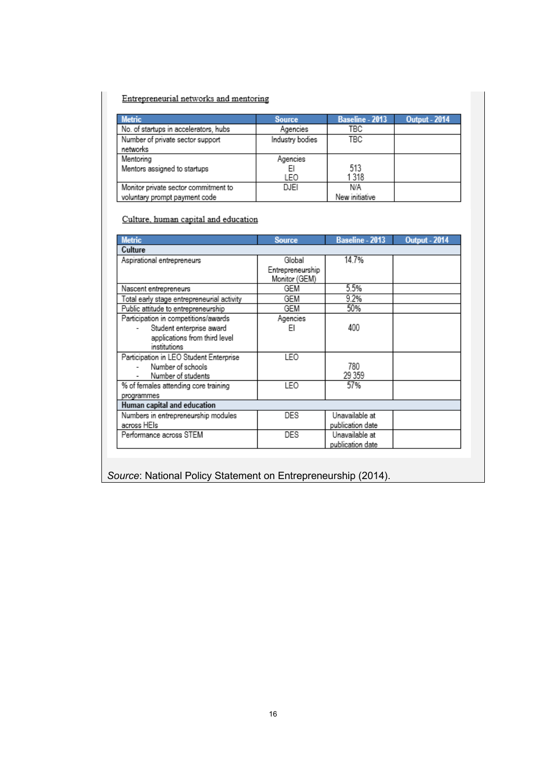#### Entrepreneurial networks and mentoring

| <b>Metric</b>                         | <b>Source</b>   | Baseline - 2013 | <b>Output - 2014</b> |
|---------------------------------------|-----------------|-----------------|----------------------|
| No. of startups in accelerators, hubs | Agencies        | TBC             |                      |
| Number of private sector support      | Industry bodies | TBC             |                      |
| networks                              |                 |                 |                      |
| Mentoring                             | Agencies        |                 |                      |
| Mentors assigned to startups          |                 | 513             |                      |
|                                       | LEO             | 1318            |                      |
| Monitor private sector commitment to  | DJEI            | N/A             |                      |
| voluntary prompt payment code         |                 | New initiative  |                      |

#### Culture, human capital and education

| <b>Metric</b>                              | <b>Source</b>    | <b>Baseline - 2013</b> | <b>Output - 2014</b> |
|--------------------------------------------|------------------|------------------------|----------------------|
| Culture                                    |                  |                        |                      |
| Aspirational entrepreneurs                 | Global           | 14.7%                  |                      |
|                                            | Entrepreneurship |                        |                      |
|                                            | Monitor (GEM)    |                        |                      |
| Nascent entrepreneurs                      | GEM              | 5.5%                   |                      |
| Total early stage entrepreneurial activity | GEM              | 9.2%                   |                      |
| Public attitude to entrepreneurship        | GEM              | 50%                    |                      |
| Participation in competitions/awards       | Agencies         |                        |                      |
| Student enterprise award                   | FI               | 400                    |                      |
| applications from third level              |                  |                        |                      |
| institutions                               |                  |                        |                      |
| Participation in LEO Student Enterprise    | LEO              |                        |                      |
| Number of schools                          |                  | 780                    |                      |
| Number of students                         |                  | 29 359                 |                      |
| % of females attending core training       | LEO              | 57%                    |                      |
| programmes                                 |                  |                        |                      |
| Human capital and education                |                  |                        |                      |
| Numbers in entrepreneurship modules        | DES              | Unavailable at         |                      |
| across HEIs                                |                  | publication date       |                      |
| Performance across STEM                    | DES              | Unavailable at         |                      |
|                                            |                  | publication date       |                      |

*Source*: National Policy Statement on Entrepreneurship (2014).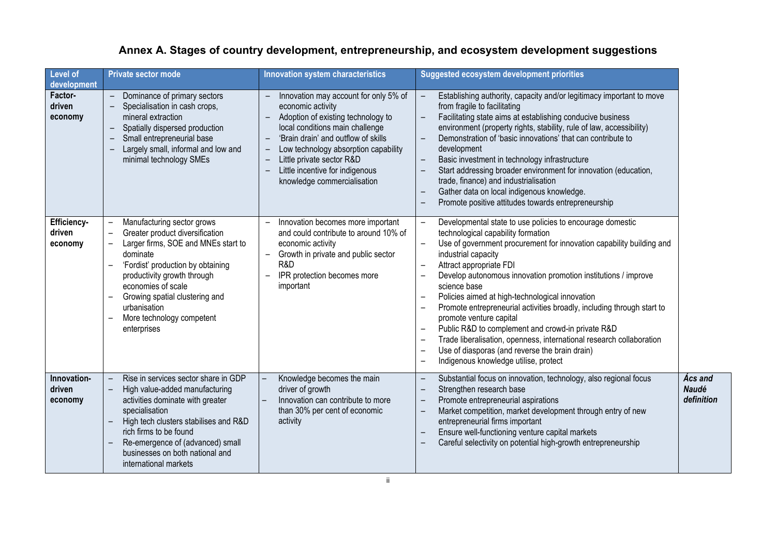| Level of<br>development             | <b>Private sector mode</b>                                                                                                                                                                                                                                                                                              | Innovation system characteristics                                                                                                                                                                                                                                                                                                                                                                                                             | Suggested ecosystem development priorities                                                                                                                                                                                                                                                                                                                                                                                                                                                                                                                                                                                                                                                                                                                             |                                              |
|-------------------------------------|-------------------------------------------------------------------------------------------------------------------------------------------------------------------------------------------------------------------------------------------------------------------------------------------------------------------------|-----------------------------------------------------------------------------------------------------------------------------------------------------------------------------------------------------------------------------------------------------------------------------------------------------------------------------------------------------------------------------------------------------------------------------------------------|------------------------------------------------------------------------------------------------------------------------------------------------------------------------------------------------------------------------------------------------------------------------------------------------------------------------------------------------------------------------------------------------------------------------------------------------------------------------------------------------------------------------------------------------------------------------------------------------------------------------------------------------------------------------------------------------------------------------------------------------------------------------|----------------------------------------------|
| <b>Factor-</b><br>driven<br>economy | Dominance of primary sectors<br>$\overline{\phantom{m}}$<br>Specialisation in cash crops,<br>mineral extraction<br>Spatially dispersed production<br>$\overline{\phantom{a}}$<br>Small entrepreneurial base<br>$\qquad \qquad -$<br>Largely small, informal and low and<br>$\qquad \qquad -$<br>minimal technology SMEs | Innovation may account for only 5% of<br>economic activity<br>Adoption of existing technology to<br>$\equiv$<br>local conditions main challenge<br>'Brain drain' and outflow of skills<br>$\overline{\phantom{m}}$<br>Low technology absorption capability<br>$\overline{\phantom{a}}$<br>Little private sector R&D<br>$\overline{\phantom{0}}$<br>Little incentive for indigenous<br>$\overline{\phantom{a}}$<br>knowledge commercialisation | Establishing authority, capacity and/or legitimacy important to move<br>$\equiv$<br>from fragile to facilitating<br>$\frac{1}{2}$<br>Facilitating state aims at establishing conducive business<br>environment (property rights, stability, rule of law, accessibility)<br>Demonstration of 'basic innovations' that can contribute to<br>$\equiv$<br>development<br>Basic investment in technology infrastructure<br>$\overline{\phantom{a}}$<br>Start addressing broader environment for innovation (education,<br>$\overline{\phantom{a}}$<br>trade, finance) and industrialisation<br>Gather data on local indigenous knowledge.<br>Promote positive attitudes towards entrepreneurship                                                                            |                                              |
| Efficiency-<br>driven<br>economy    | Manufacturing sector grows<br>Greater product diversification<br>Larger firms, SOE and MNEs start to<br>dominate<br>'Fordist' production by obtaining<br>productivity growth through<br>economies of scale<br>Growing spatial clustering and<br>urbanisation<br>More technology competent<br>enterprises                | Innovation becomes more important<br>and could contribute to around 10% of<br>economic activity<br>Growth in private and public sector<br>R&D<br>IPR protection becomes more<br>important                                                                                                                                                                                                                                                     | Developmental state to use policies to encourage domestic<br>-<br>technological capability formation<br>Use of government procurement for innovation capability building and<br>$\overline{\phantom{0}}$<br>industrial capacity<br>Attract appropriate FDI<br>Develop autonomous innovation promotion institutions / improve<br>science base<br>Policies aimed at high-technological innovation<br>$\qquad \qquad -$<br>Promote entrepreneurial activities broadly, including through start to<br>$\qquad \qquad -$<br>promote venture capital<br>Public R&D to complement and crowd-in private R&D<br>Trade liberalisation, openness, international research collaboration<br>Use of diasporas (and reverse the brain drain)<br>Indigenous knowledge utilise, protect |                                              |
| Innovation-<br>driven<br>economy    | Rise in services sector share in GDP<br>High value-added manufacturing<br>activities dominate with greater<br>specialisation<br>High tech clusters stabilises and R&D<br>rich firms to be found<br>Re-emergence of (advanced) small<br>businesses on both national and<br>international markets                         | Knowledge becomes the main<br>driver of growth<br>Innovation can contribute to more<br>than 30% per cent of economic<br>activity                                                                                                                                                                                                                                                                                                              | Substantial focus on innovation, technology, also regional focus<br>$\overline{\phantom{a}}$<br>Strengthen research base<br>$\overline{\phantom{0}}$<br>Promote entrepreneurial aspirations<br>$\overline{\phantom{a}}$<br>Market competition, market development through entry of new<br>$\overline{\phantom{0}}$<br>entrepreneurial firms important<br>Ensure well-functioning venture capital markets<br>Careful selectivity on potential high-growth entrepreneurship                                                                                                                                                                                                                                                                                              | <b>Ács and</b><br><b>Naudé</b><br>definition |

# **Annex A. Stages of country development, entrepreneurship, and ecosystem development suggestions**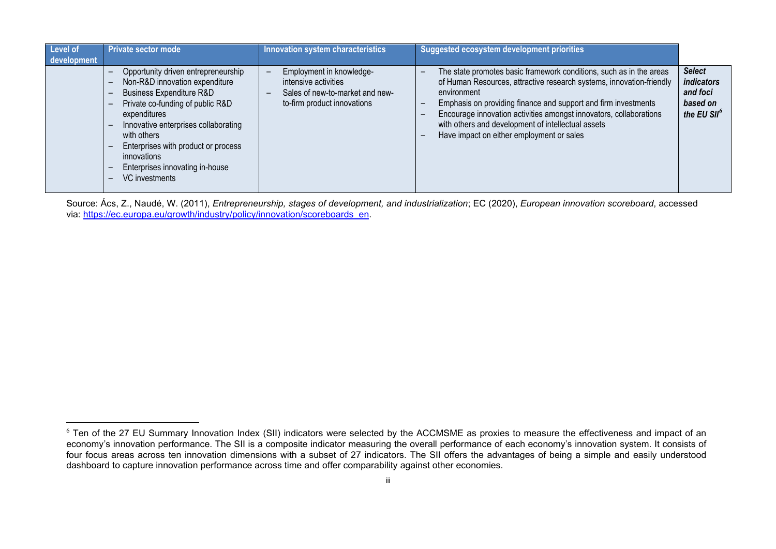<span id="page-23-0"></span>

| Level of<br>development | <b>Private sector mode</b>                                                                                                                                                                                                                                                                                                         | Innovation system characteristics                                                                                                              | Suggested ecosystem development priorities                                                                                                                                                                                                                                                                                                                                                            |                                                                                |
|-------------------------|------------------------------------------------------------------------------------------------------------------------------------------------------------------------------------------------------------------------------------------------------------------------------------------------------------------------------------|------------------------------------------------------------------------------------------------------------------------------------------------|-------------------------------------------------------------------------------------------------------------------------------------------------------------------------------------------------------------------------------------------------------------------------------------------------------------------------------------------------------------------------------------------------------|--------------------------------------------------------------------------------|
|                         | Opportunity driven entrepreneurship<br>Non-R&D innovation expenditure<br><b>Business Expenditure R&amp;D</b><br>Private co-funding of public R&D<br>expenditures<br>Innovative enterprises collaborating<br>with others<br>Enterprises with product or process<br>innovations<br>Enterprises innovating in-house<br>VC investments | Employment in knowledge-<br>intensive activities<br>Sales of new-to-market and new-<br>$\overline{\phantom{m}}$<br>to-firm product innovations | The state promotes basic framework conditions, such as in the areas<br>of Human Resources, attractive research systems, innovation-friendly<br>environment<br>Emphasis on providing finance and support and firm investments<br>Encourage innovation activities amongst innovators, collaborations<br>with others and development of intellectual assets<br>Have impact on either employment or sales | <b>Select</b><br>indicators<br>and foci<br>based on<br>the EU SII <sup>6</sup> |

Source: Ács, Z., Naudé, W. (2011), *Entrepreneurship, stages of development, and industrialization*; EC (2020), *European innovation scoreboard*, accessed via: [https://ec.europa.eu/growth/industry/policy/innovation/scoreboards\\_en.](https://ec.europa.eu/growth/industry/policy/innovation/scoreboards_en)

 $^6$  Ten of the 27 EU Summary Innovation Index (SII) indicators were selected by the ACCMSME as proxies to measure the effectiveness and impact of an economy's innovation performance. The SII is a composite indicator measuring the overall performance of each economy's innovation system. It consists of four focus areas across ten innovation dimensions with a subset of 27 indicators. The SII offers the advantages of being a simple and easily understood dashboard to capture innovation performance across time and offer comparability against other economies.